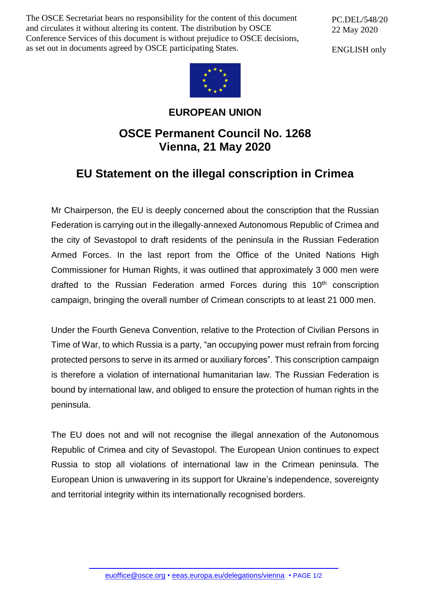The OSCE Secretariat bears no responsibility for the content of this document and circulates it without altering its content. The distribution by OSCE Conference Services of this document is without prejudice to OSCE decisions, as set out in documents agreed by OSCE participating States.

PC.DEL/548/20 22 May 2020

ENGLISH only



## **EUROPEAN UNION**

## **OSCE Permanent Council No. 1268 Vienna, 21 May 2020**

## **EU Statement on the illegal conscription in Crimea**

Mr Chairperson, the EU is deeply concerned about the conscription that the Russian Federation is carrying out in the illegally-annexed Autonomous Republic of Crimea and the city of Sevastopol to draft residents of the peninsula in the Russian Federation Armed Forces. In the last report from the Office of the United Nations High Commissioner for Human Rights, it was outlined that approximately 3 000 men were drafted to the Russian Federation armed Forces during this  $10<sup>th</sup>$  conscription campaign, bringing the overall number of Crimean conscripts to at least 21 000 men.

Under the Fourth Geneva Convention, relative to the Protection of Civilian Persons in Time of War, to which Russia is a party, "an occupying power must refrain from forcing protected persons to serve in its armed or auxiliary forces". This conscription campaign is therefore a violation of international humanitarian law. The Russian Federation is bound by international law, and obliged to ensure the protection of human rights in the peninsula.

The EU does not and will not recognise the illegal annexation of the Autonomous Republic of Crimea and city of Sevastopol. The European Union continues to expect Russia to stop all violations of international law in the Crimean peninsula. The European Union is unwavering in its support for Ukraine's independence, sovereignty and territorial integrity within its internationally recognised borders.